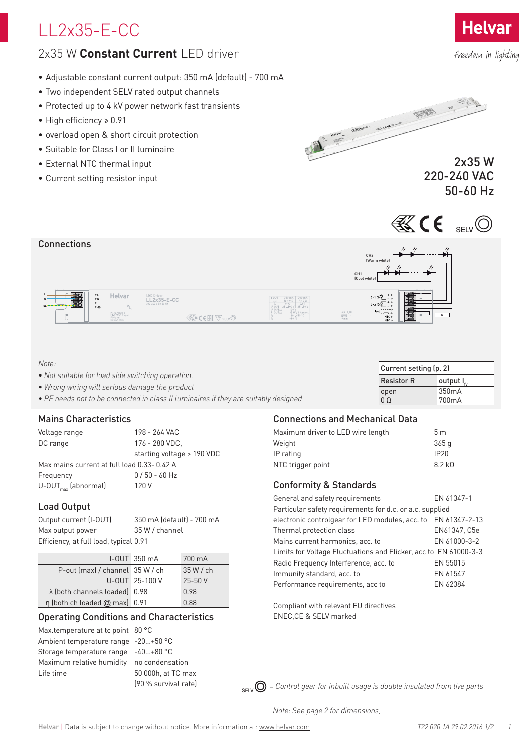# LL2x35-E-CC

## 2x35 W **Constant Current** LED driver

- Adjustable constant current output: 350 mA (default) 700 mA
- Two independent SELV rated output channels
- Protected up to 4 kV power network fast transients
- High efficiency ≥ 0.91
- overload open & short circuit protection
- Suitable for Class I or II luminaire
- External NTC thermal input
- Current setting resistor input



## 2x35 W 220-240 VAC 50-60 Hz





| Note: |
|-------|
|-------|

| <i>INOTE:</i>                                                                       | Current setting (p. 2) |                           |  |  |  |
|-------------------------------------------------------------------------------------|------------------------|---------------------------|--|--|--|
| • Not suitable for load side switching operation.                                   | <b>Resistor R</b>      | $\parallel$ output l $_L$ |  |  |  |
| • Wrong wiring will serious damage the product                                      | open                   | 350mA                     |  |  |  |
| • PE needs not to be connected in class II luminaires if they are suitably designed | 0 Q                    | '700mA                    |  |  |  |

## Mains Characteristics

Voltage range 198 - 264 VAC DC range 176 - 280 VDC, starting voltage > 190 VDC Max mains current at full load 0.33- 0.42 A Frequency 0 / 50 - 60 Hz  $U$ -OUT $_{max}$  (abnormal) 120 V

## Load Output

| Output current (I-OUT)                 | 350 mA (default) - 700 mA |
|----------------------------------------|---------------------------|
| Max output power                       | 35 W / channel            |
| Efficiency, at full load, typical 0.91 |                           |

|                                           | $I-OUT$ 350 $mA$ | 700 mA     |
|-------------------------------------------|------------------|------------|
| P-out (max) / channel 35 W / ch           |                  | 35 W/ch    |
|                                           | U-OUT 25-100 V   | $25 - 50V$ |
| $\lambda$ (both channels loaded) 0.98     |                  | 0.98       |
| $\eta$ (both ch loaded $\omega$ max) 0.91 |                  | 0.88       |

## Operating Conditions and Characteristics

Max.temperature at tc point 80 °C Ambient temperature range -20…+50 °C Storage temperature range -40…+80 °C Maximum relative humidity no condensation Life time 50 000h, at TC max

(90 % survival rate)

## Connections and Mechanical Data

| Maximum driver to LED wire length | 5 <sub>m</sub>   |
|-----------------------------------|------------------|
| Weight                            | 365q             |
| IP rating                         | IP <sub>20</sub> |
| NTC trigger point                 | 8.2 kD           |
|                                   |                  |

## Conformity & Standards

| General and safety requirements                                  | EN 61347-1   |  |  |  |  |  |  |  |  |
|------------------------------------------------------------------|--------------|--|--|--|--|--|--|--|--|
| Particular safety requirements for d.c. or a.c. supplied         |              |  |  |  |  |  |  |  |  |
| electronic controlgear for LED modules, acc. to EN 61347-2-13    |              |  |  |  |  |  |  |  |  |
| Thermal protection class                                         | EN61347, C5e |  |  |  |  |  |  |  |  |
| Mains current harmonics, acc. to                                 | EN 61000-3-2 |  |  |  |  |  |  |  |  |
| Limits for Voltage Fluctuations and Flicker, acc to EN 61000-3-3 |              |  |  |  |  |  |  |  |  |
| Radio Frequency Interference, acc. to                            | EN 55015     |  |  |  |  |  |  |  |  |
| Immunity standard, acc. to                                       | EN 61547     |  |  |  |  |  |  |  |  |
| Performance requirements, acc to                                 | EN 62384     |  |  |  |  |  |  |  |  |
|                                                                  |              |  |  |  |  |  |  |  |  |

Compliant with relevant EU directives ENEC,CE & SELV marked

 $_{\rm SFIV}$   $\odot$  = Control gear for inbuilt usage is double insulated from live parts

*Note: See page 2 for dimensions,*